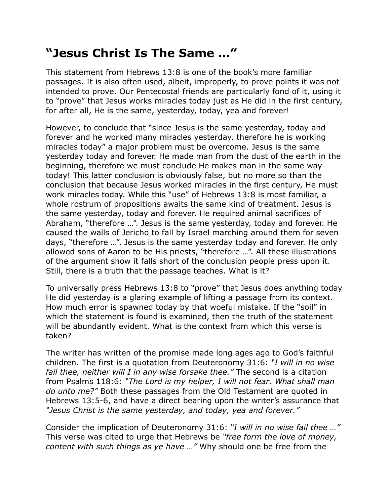## **"Jesus Christ Is The Same …"**

This statement from Hebrews 13:8 is one of the book's more familiar passages. It is also often used, albeit, improperly, to prove points it was not intended to prove. Our Pentecostal friends are particularly fond of it, using it to "prove" that Jesus works miracles today just as He did in the first century, for after all, He is the same, yesterday, today, yea and forever!

However, to conclude that "since Jesus is the same yesterday, today and forever and he worked many miracles yesterday, therefore he is working miracles today" a major problem must be overcome. Jesus is the same yesterday today and forever. He made man from the dust of the earth in the beginning, therefore we must conclude He makes man in the same way today! This latter conclusion is obviously false, but no more so than the conclusion that because Jesus worked miracles in the first century, He must work miracles today. While this "use" of Hebrews 13:8 is most familiar, a whole rostrum of propositions awaits the same kind of treatment. Jesus is the same yesterday, today and forever. He required animal sacrifices of Abraham, "therefore …". Jesus is the same yesterday, today and forever. He caused the walls of Jericho to fall by Israel marching around them for seven days, "therefore …". Jesus is the same yesterday today and forever. He only allowed sons of Aaron to be His priests, "therefore …". All these illustrations of the argument show it falls short of the conclusion people press upon it. Still, there is a truth that the passage teaches. What is it?

To universally press Hebrews 13:8 to "prove" that Jesus does anything today He did yesterday is a glaring example of lifting a passage from its context. How much error is spawned today by that woeful mistake. If the "soil" in which the statement is found is examined, then the truth of the statement will be abundantly evident. What is the context from which this verse is taken?

The writer has written of the promise made long ages ago to God's faithful children. The first is a quotation from Deuteronomy 31:6: *"I will in no wise fail thee, neither will I in any wise forsake thee."* The second is a citation from Psalms 118:6: *"The Lord is my helper, I will not fear. What shall man do unto me?"* Both these passages from the Old Testament are quoted in Hebrews 13:5-6, and have a direct bearing upon the writer's assurance that *"Jesus Christ is the same yesterday, and today, yea and forever."*

Consider the implication of Deuteronomy 31:6: *"I will in no wise fail thee …"* This verse was cited to urge that Hebrews be *"free form the love of money, content with such things as ye have …"* Why should one be free from the